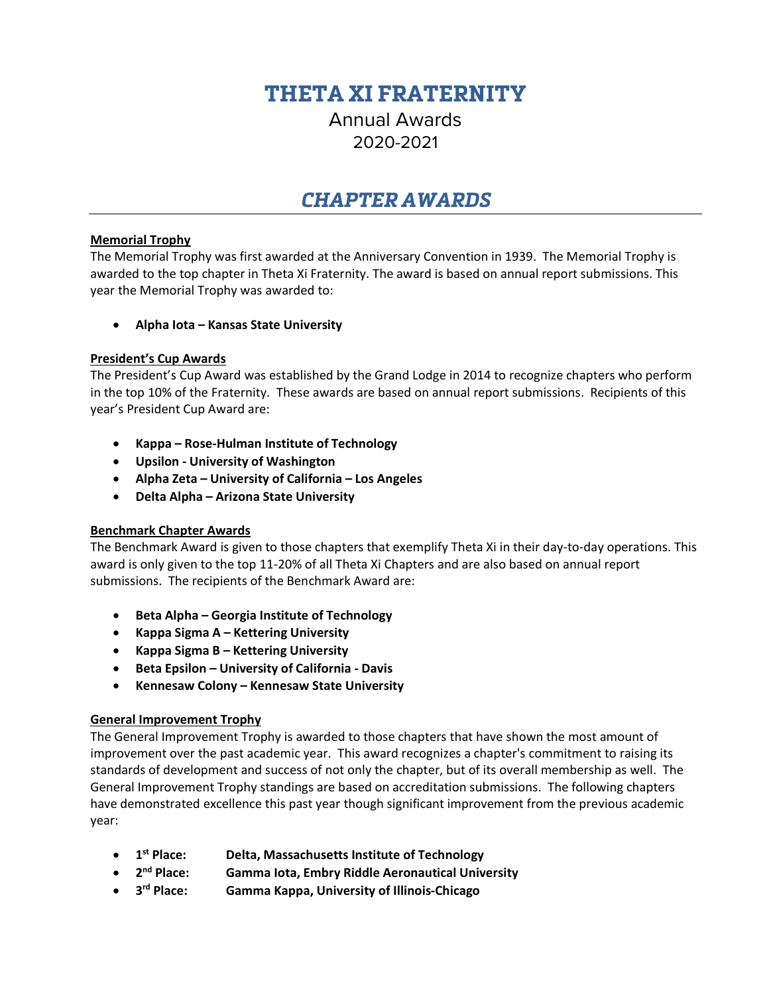# **THETA XI FRATERNITY**

Annual Awards 2020-2021

## *CHAPTER AWARDS*

#### **Memorial Trophy**

The Memorial Trophy was first awarded at the Anniversary Convention in 1939. The Memorial Trophy is awarded to the top chapter in Theta Xi Fraternity. The award is based on annual report submissions. This year the Memorial Trophy was awarded to:

• **Alpha Iota – Kansas State University**

## **President's Cup Awards**

The President's Cup Award was established by the Grand Lodge in 2014 to recognize chapters who perform in the top 10% of the Fraternity. These awards are based on annual report submissions. Recipients of this year's President Cup Award are:

- **Kappa – Rose-Hulman Institute of Technology**
- **Upsilon - University of Washington**
- **Alpha Zeta – University of California – Los Angeles**
- **Delta Alpha – Arizona State University**

## **Benchmark Chapter Awards**

The Benchmark Award is given to those chapters that exemplify Theta Xi in their day-to-day operations. This award is only given to the top 11-20% of all Theta Xi Chapters and are also based on annual report submissions. The recipients of the Benchmark Award are:

- **Beta Alpha – Georgia Institute of Technology**
- **Kappa Sigma A – Kettering University**
- **Kappa Sigma B – Kettering University**
- **Beta Epsilon – University of California - Davis**
- **Kennesaw Colony – Kennesaw State University**

## **General Improvement Trophy**

The General Improvement Trophy is awarded to those chapters that have shown the most amount of improvement over the past academic year. This award recognizes a chapter's commitment to raising its standards of development and success of not only the chapter, but of its overall membership as well. The General Improvement Trophy standings are based on accreditation submissions. The following chapters have demonstrated excellence this past year though significant improvement from the previous academic year:

- **1st Place: Delta, Massachusetts Institute of Technology**
- **2nd Place: Gamma Iota, Embry Riddle Aeronautical University**
- **3rd Place: Gamma Kappa, University of Illinois-Chicago**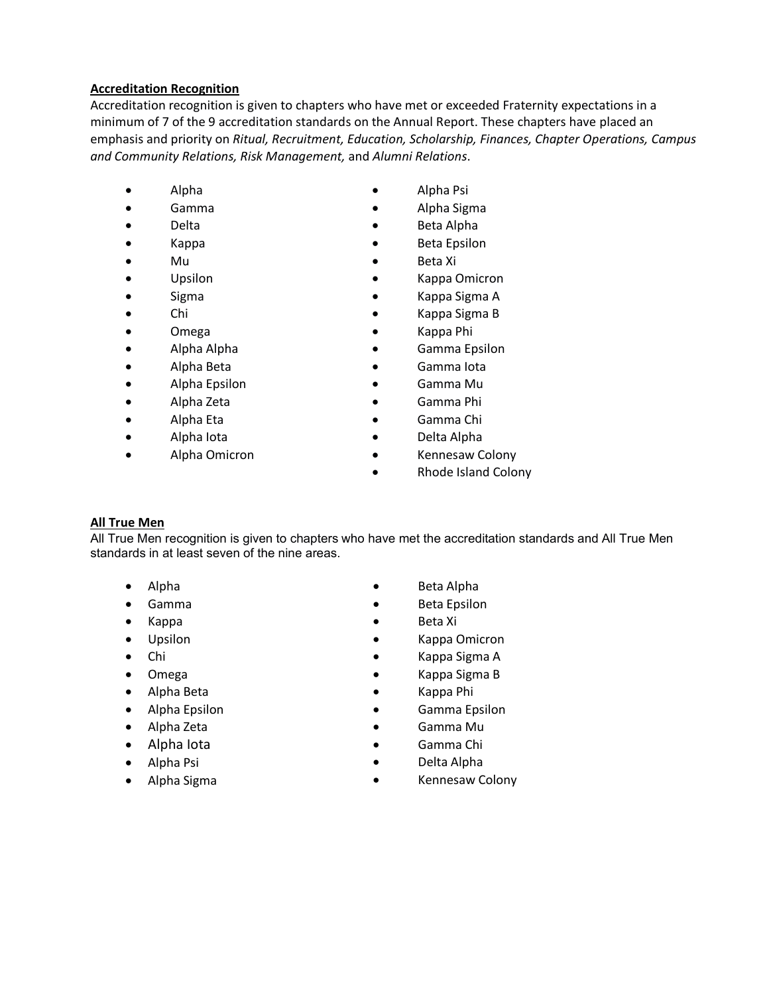## **Accreditation Recognition**

Accreditation recognition is given to chapters who have met or exceeded Fraternity expectations in a minimum of 7 of the 9 accreditation standards on the Annual Report. These chapters have placed an emphasis and priority on *Ritual, Recruitment, Education, Scholarship, Finances, Chapter Operations, Campus and Community Relations, Risk Management,* and *Alumni Relations*.

- 
- 
- 
- 
- 
- 
- 
- Chi
- Omega
- Alpha Alpha
- Alpha Beta
- Alpha Epsilon
- Alpha Zeta
- Alpha Eta
- Alpha Iota
- Alpha Omicron
- Alpha Alpha Psi
- Gamma Alpha Sigma
	- Delta Beta Alpha
	- Kappa Beta Epsilon
- Mu Beta Xi
	- Upsilon Kappa Omicron
	- Sigma Kappa Sigma A
		- Kappa Sigma B
		- Kappa Phi
		- Gamma Epsilon
		- Gamma Iota
		- Gamma Mu
		- Gamma Phi
		- Gamma Chi
		- Delta Alpha
		- Kennesaw Colony
		- Rhode Island Colony

## **All True Men**

All True Men recognition is given to chapters who have met the accreditation standards and All True Men standards in at least seven of the nine areas.

- Alpha
- Gamma
- Kappa
- Upsilon
- Chi
- Omega
- Alpha Beta
- Alpha Epsilon
- Alpha Zeta
- Alpha Iota
- Alpha Psi
- Alpha Sigma
- Beta Alpha
- Beta Epsilon
- Beta Xi
- Kappa Omicron
- Kappa Sigma A
- Kappa Sigma B
- Kappa Phi
- Gamma Epsilon
- Gamma Mu
- Gamma Chi
- Delta Alpha
- Kennesaw Colony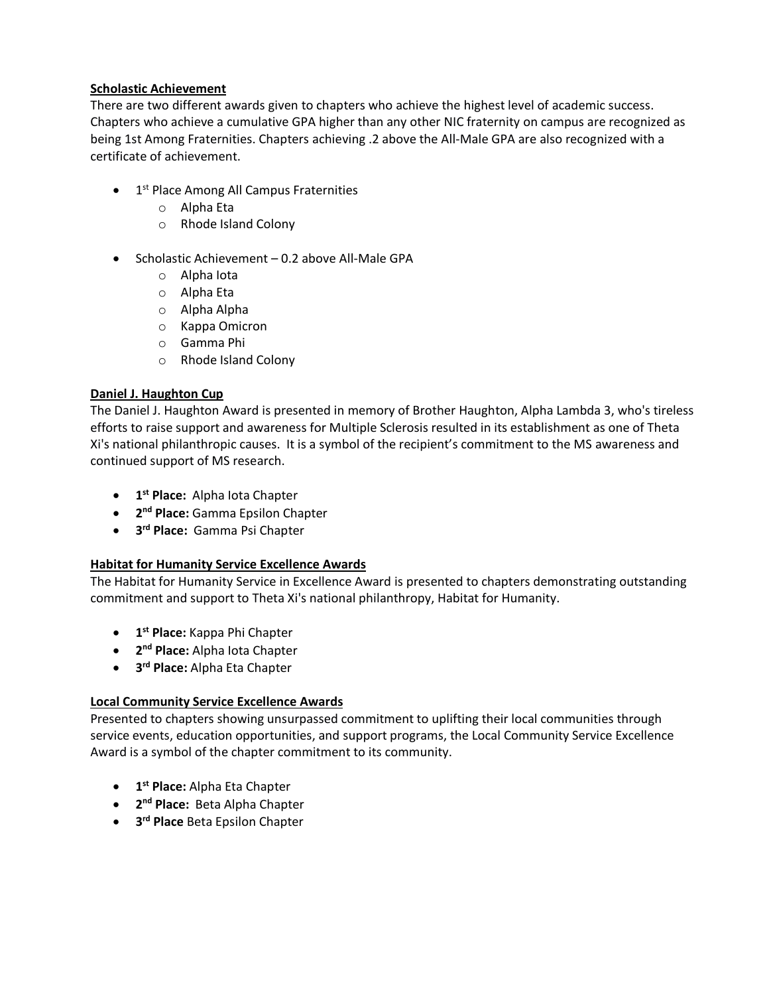## **Scholastic Achievement**

There are two different awards given to chapters who achieve the highest level of academic success. Chapters who achieve a cumulative GPA higher than any other NIC fraternity on campus are recognized as being 1st Among Fraternities. Chapters achieving .2 above the All-Male GPA are also recognized with a certificate of achievement.

- $\bullet$  1<sup>st</sup> Place Among All Campus Fraternities
	- o Alpha Eta
	- o Rhode Island Colony
- Scholastic Achievement 0.2 above All-Male GPA
	- o Alpha Iota
	- o Alpha Eta
	- o Alpha Alpha
	- o Kappa Omicron
	- o Gamma Phi
	- o Rhode Island Colony

## **Daniel J. Haughton Cup**

The Daniel J. Haughton Award is presented in memory of Brother Haughton, Alpha Lambda 3, who's tireless efforts to raise support and awareness for Multiple Sclerosis resulted in its establishment as one of Theta Xi's national philanthropic causes. It is a symbol of the recipient's commitment to the MS awareness and continued support of MS research.

- **1st Place:** Alpha Iota Chapter
- **2nd Place:** Gamma Epsilon Chapter
- **3rd Place:** Gamma Psi Chapter

## **Habitat for Humanity Service Excellence Awards**

The Habitat for Humanity Service in Excellence Award is presented to chapters demonstrating outstanding commitment and support to Theta Xi's national philanthropy, Habitat for Humanity.

- **1st Place:** Kappa Phi Chapter
- **2nd Place:** Alpha Iota Chapter
- **3rd Place:** Alpha Eta Chapter

## **Local Community Service Excellence Awards**

Presented to chapters showing unsurpassed commitment to uplifting their local communities through service events, education opportunities, and support programs, the Local Community Service Excellence Award is a symbol of the chapter commitment to its community.

- **1st Place:** Alpha Eta Chapter
- **2nd Place:** Beta Alpha Chapter
- **3rd Place** Beta Epsilon Chapter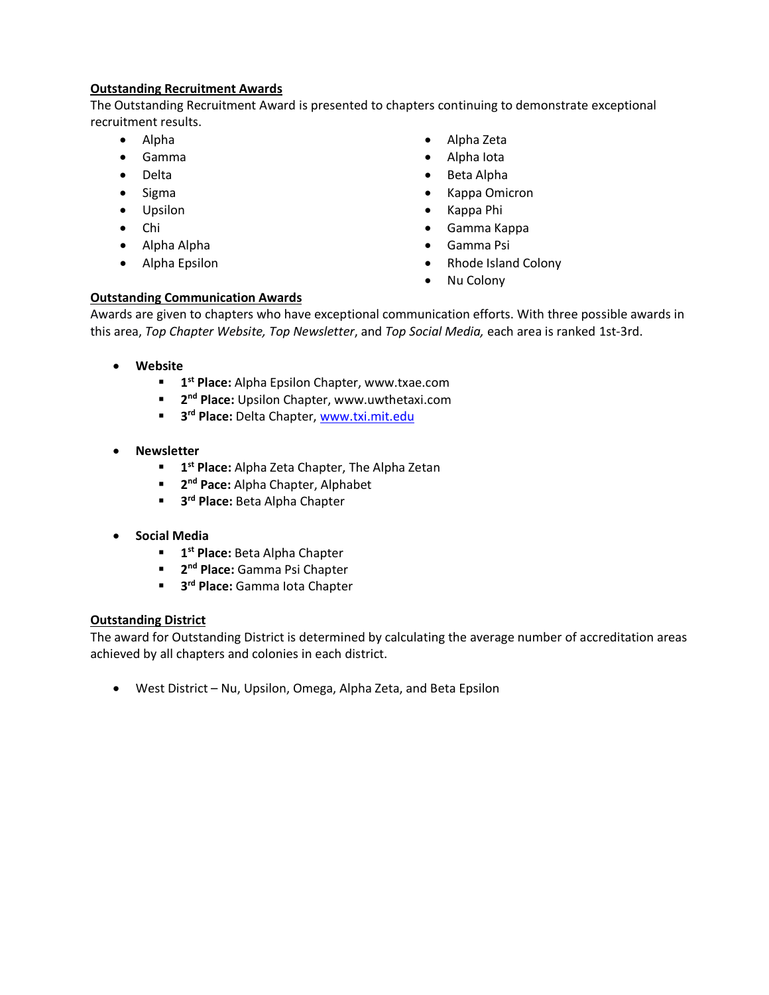## **Outstanding Recruitment Awards**

The Outstanding Recruitment Award is presented to chapters continuing to demonstrate exceptional recruitment results.

- Alpha
- Gamma
- Delta
- Sigma
- Upsilon
- Chi
- Alpha Alpha
- Alpha Epsilon
- Alpha Zeta
- Alpha Iota
- Beta Alpha
- Kappa Omicron
- Kappa Phi
- Gamma Kappa
- Gamma Psi
- Rhode Island Colony
- Nu Colony

## **Outstanding Communication Awards**

Awards are given to chapters who have exceptional communication efforts. With three possible awards in this area, *Top Chapter Website, Top Newsletter*, and *Top Social Media,* each area is ranked 1st-3rd.

- **Website**
	- **1st Place:** Alpha Epsilon Chapter, www.txae.com
	- **2nd Place:** Upsilon Chapter, www.uwthetaxi.com
	- **3rd Place:** Delta Chapter, [www.txi.mit.edu](http://www.txi.mit.edu/)
- **Newsletter** 
	- **1st Place:** Alpha Zeta Chapter, The Alpha Zetan
	- **2nd Pace:** Alpha Chapter, Alphabet
	- **3rd Place:** Beta Alpha Chapter
- **Social Media**
	- **1st Place:** Beta Alpha Chapter
	- **2nd Place:** Gamma Psi Chapter
	- **3rd Place: Gamma Iota Chapter**

## **Outstanding District**

The award for Outstanding District is determined by calculating the average number of accreditation areas achieved by all chapters and colonies in each district.

• West District – Nu, Upsilon, Omega, Alpha Zeta, and Beta Epsilon